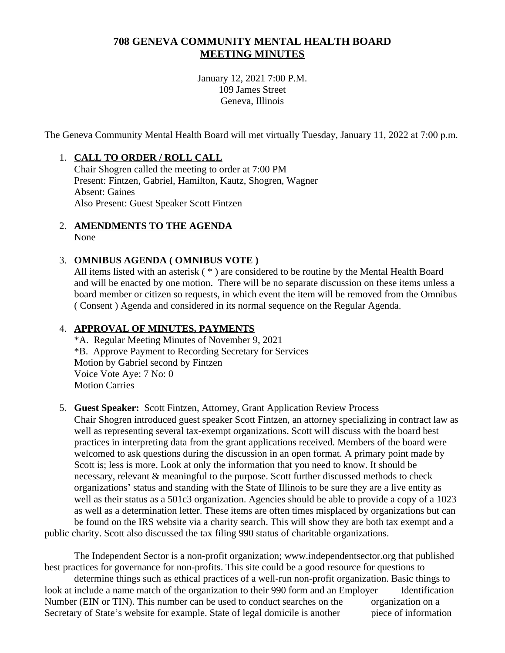# **708 GENEVA COMMUNITY MENTAL HEALTH BOARD MEETING MINUTES**

January 12, 2021 7:00 P.M. 109 James Street Geneva, Illinois

The Geneva Community Mental Health Board will met virtually Tuesday, January 11, 2022 at 7:00 p.m.

# 1. **CALL TO ORDER / ROLL CALL**

Chair Shogren called the meeting to order at 7:00 PM Present: Fintzen, Gabriel, Hamilton, Kautz, Shogren, Wagner Absent: Gaines Also Present: Guest Speaker Scott Fintzen

2. **AMENDMENTS TO THE AGENDA** None

## 3. **OMNIBUS AGENDA ( OMNIBUS VOTE )**

All items listed with an asterisk ( \* ) are considered to be routine by the Mental Health Board and will be enacted by one motion. There will be no separate discussion on these items unless a board member or citizen so requests, in which event the item will be removed from the Omnibus ( Consent ) Agenda and considered in its normal sequence on the Regular Agenda.

# 4. **APPROVAL OF MINUTES, PAYMENTS**

\*A. Regular Meeting Minutes of November 9, 2021 \*B. Approve Payment to Recording Secretary for Services Motion by Gabriel second by Fintzen Voice Vote Aye: 7 No: 0 Motion Carries

## 5. **Guest Speaker:** Scott Fintzen, Attorney, Grant Application Review Process

Chair Shogren introduced guest speaker Scott Fintzen, an attorney specializing in contract law as well as representing several tax-exempt organizations. Scott will discuss with the board best practices in interpreting data from the grant applications received. Members of the board were welcomed to ask questions during the discussion in an open format. A primary point made by Scott is; less is more. Look at only the information that you need to know. It should be necessary, relevant & meaningful to the purpose. Scott further discussed methods to check organizations' status and standing with the State of Illinois to be sure they are a live entity as well as their status as a 501c3 organization. Agencies should be able to provide a copy of a 1023 as well as a determination letter. These items are often times misplaced by organizations but can be found on the IRS website via a charity search. This will show they are both tax exempt and a

public charity. Scott also discussed the tax filing 990 status of charitable organizations.

The Independent Sector is a non-profit organization; www.independentsector.org that published best practices for governance for non-profits. This site could be a good resource for questions to determine things such as ethical practices of a well-run non-profit organization. Basic things to look at include a name match of the organization to their 990 form and an Employer Identification Number (EIN or TIN). This number can be used to conduct searches on the organization on a Secretary of State's website for example. State of legal domicile is another piece of information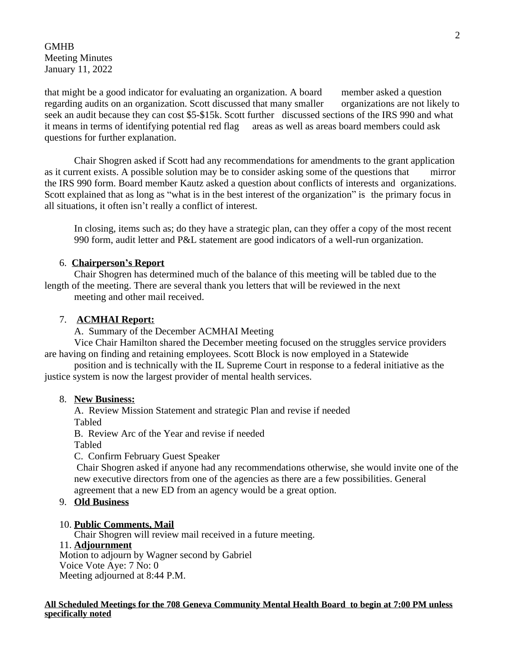GMHB Meeting Minutes January 11, 2022

that might be a good indicator for evaluating an organization. A board member asked a question regarding audits on an organization. Scott discussed that many smaller organizations are not likely to seek an audit because they can cost \$5-\$15k. Scott further discussed sections of the IRS 990 and what it means in terms of identifying potential red flag areas as well as areas board members could ask questions for further explanation.

Chair Shogren asked if Scott had any recommendations for amendments to the grant application as it current exists. A possible solution may be to consider asking some of the questions that mirror the IRS 990 form. Board member Kautz asked a question about conflicts of interests and organizations. Scott explained that as long as "what is in the best interest of the organization" is the primary focus in all situations, it often isn't really a conflict of interest.

In closing, items such as; do they have a strategic plan, can they offer a copy of the most recent 990 form, audit letter and P&L statement are good indicators of a well-run organization.

### 6. **Chairperson's Report**

Chair Shogren has determined much of the balance of this meeting will be tabled due to the length of the meeting. There are several thank you letters that will be reviewed in the next meeting and other mail received.

### 7. **ACMHAI Report:**

A. Summary of the December ACMHAI Meeting

Vice Chair Hamilton shared the December meeting focused on the struggles service providers are having on finding and retaining employees. Scott Block is now employed in a Statewide

position and is technically with the IL Supreme Court in response to a federal initiative as the justice system is now the largest provider of mental health services.

#### 8. **New Business:**

A. Review Mission Statement and strategic Plan and revise if needed Tabled

B. Review Arc of the Year and revise if needed

Tabled

C. Confirm February Guest Speaker

Chair Shogren asked if anyone had any recommendations otherwise, she would invite one of the new executive directors from one of the agencies as there are a few possibilities. General agreement that a new ED from an agency would be a great option.

#### 9. **Old Business**

#### 10. **Public Comments, Mail**

Chair Shogren will review mail received in a future meeting.

### 11. **Adjournment**

Motion to adjourn by Wagner second by Gabriel Voice Vote Aye: 7 No: 0 Meeting adjourned at 8:44 P.M.